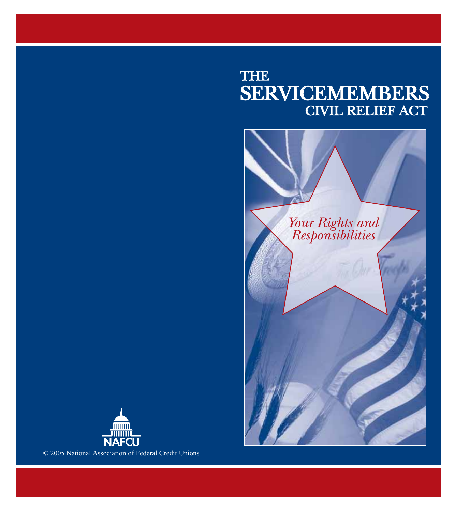# THE SERVICEMEMBERS CIVIL RELIEF ACT





© 2005 National Association of Federal Credit Unions